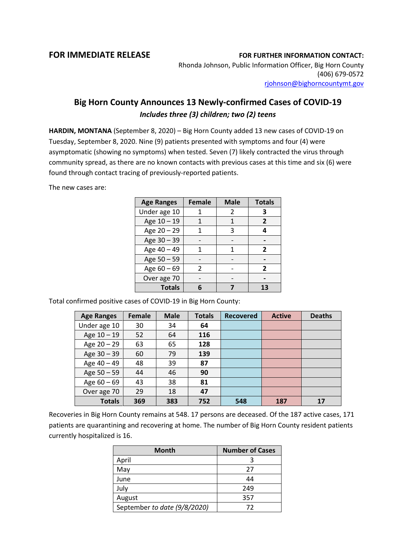## **FOR IMMEDIATE RELEASE FOR FURTHER INFORMATION CONTACT:**

Rhonda Johnson, Public Information Officer, Big Horn County (406) 679-0572 [rjohnson@bighorncountymt.gov](mailto:rjohnson@bighorncountymt.gov)

## **Big Horn County Announces 13 Newly-confirmed Cases of COVID-19** *Includes three (3) children; two (2) teens*

**HARDIN, MONTANA** (September 8, 2020) – Big Horn County added 13 new cases of COVID-19 on Tuesday, September 8, 2020. Nine (9) patients presented with symptoms and four (4) were asymptomatic (showing no symptoms) when tested. Seven (7) likely contracted the virus through community spread, as there are no known contacts with previous cases at this time and six (6) were found through contact tracing of previously-reported patients.

The new cases are:

| <b>Age Ranges</b> | <b>Female</b> | <b>Male</b> | <b>Totals</b>  |
|-------------------|---------------|-------------|----------------|
| Under age 10      |               | 2           | 3              |
| Age 10 - 19       |               | 1           | 2              |
| Age 20 - 29       |               | 3           | 4              |
| Age 30 - 39       |               |             |                |
| Age 40 - 49       | 1             |             | $\overline{2}$ |
| Age 50 - 59       |               |             |                |
| Age $60 - 69$     | $\mathcal{P}$ |             | $\overline{2}$ |
| Over age 70       |               |             |                |
| <b>Totals</b>     |               |             | 13             |

Total confirmed positive cases of COVID-19 in Big Horn County:

| <b>Age Ranges</b> | Female | <b>Male</b> | <b>Totals</b> | <b>Recovered</b> | <b>Active</b> | <b>Deaths</b> |
|-------------------|--------|-------------|---------------|------------------|---------------|---------------|
| Under age 10      | 30     | 34          | 64            |                  |               |               |
| Age 10 - 19       | 52     | 64          | 116           |                  |               |               |
| Age 20 - 29       | 63     | 65          | 128           |                  |               |               |
| Age 30 - 39       | 60     | 79          | 139           |                  |               |               |
| Age 40 - 49       | 48     | 39          | 87            |                  |               |               |
| Age 50 - 59       | 44     | 46          | 90            |                  |               |               |
| Age $60 - 69$     | 43     | 38          | 81            |                  |               |               |
| Over age 70       | 29     | 18          | 47            |                  |               |               |
| <b>Totals</b>     | 369    | 383         | 752           | 548              | 187           | 17            |

Recoveries in Big Horn County remains at 548. 17 persons are deceased. Of the 187 active cases, 171 patients are quarantining and recovering at home. The number of Big Horn County resident patients currently hospitalized is 16.

| Month                        | <b>Number of Cases</b> |  |  |
|------------------------------|------------------------|--|--|
| April                        |                        |  |  |
| May                          | 27                     |  |  |
| June                         | 44                     |  |  |
| July                         | 249                    |  |  |
| August                       | 357                    |  |  |
| September to date (9/8/2020) | 72                     |  |  |